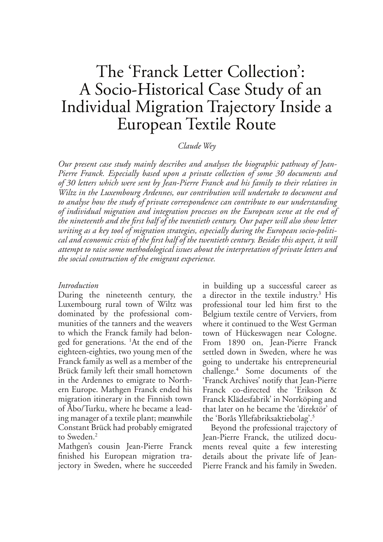# The 'Franck Letter Collection': A Socio-Historical Case Study of an Individual Migration Trajectory Inside a European Textile Route

## Claude Wey

Our present case study mainly describes and analyses the biographic pathway of Jean-Pierre Franck. Especially based upon a private collection of some 30 documents and of 30 letters which were sent by Jean-Pierre Franck and his family to their relatives in Wiltz in the Luxembourg Ardennes, our contribution will undertake to document and to analyse how the study of private correspondence can contribute to our understanding of individual migration and integration processes on the European scene at the end of the nineteenth and the first half of the twentieth century. Our paper will also show letter writing as a key tool of migration strategies, especially during the European socio-political and economic crisis of the first half of the twentieth century. Besides this aspect, it will attempt to raise some methodological issues about the interpretation of private letters and the social construction of the emigrant experience.

## Introduction

During the nineteenth century, the Luxembourg rural town of Wiltz was dominated by the professional communities of the tanners and the weavers to which the Franck family had belonged for generations. <sup>1</sup>At the end of the eighteen-eighties, two young men of the Franck family as well as a member of the Brück family left their small hometown in the Ardennes to emigrate to Northern Europe. Mathgen Franck ended his migration itinerary in the Finnish town of Abo/Turku, where he became a leading manager of a textile plant; meanwhile Constant Brück had probably emigrated to Sweden.<sup>2</sup>

Mathgen's cousin Jean-Pierre Franck finished his European migration trajectory in Sweden, where he succeeded

in building up a successful career as a director in the textile industry.<sup>3</sup> His professional tour led him first to the Belgium textile centre of Verviers, from where it continued to the West German town of Hückeswagen near Cologne. From 1890 on, Jean-Pierre Franck settled down in Sweden, where he was going to undertake his entrepreneurial challenge.<sup>4</sup> Some documents of the 'Franck Archives' notify that Jean-Pierre Franck co-directed the 'Erikson & Franck Klädesfabrik' in Norrköping and that later on he became the 'direktör' of the 'Borås Yllefabriksaktiebolag'.<sup>5</sup>

Beyond the professional trajectory of Jean-Pierre Franck, the utilized documents reveal quite a few interesting details about the private life of Jean-Pierre Franck and his family in Sweden.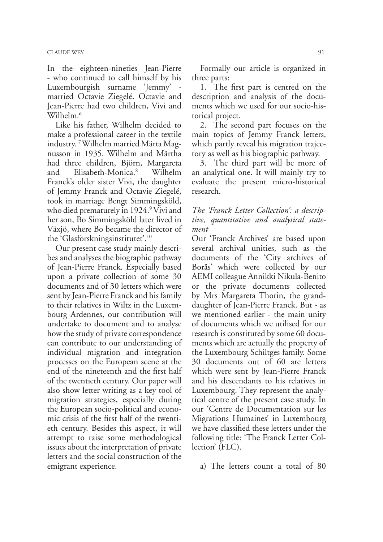In the eighteen-nineties Jean-Pierre - who continued to call himself by his Luxembourgish surname 'Jemmy' married Octavie Ziegelé. Octavie and Jean-Pierre had two children, Vivi and Wilhelm.<sup>6</sup>

Like his father, Wilhelm decided to make a professional career in the textile industry.<sup>7</sup> Wilhelm married Märta Magnusson in 1935. Wilhelm and Märtha had three children, Björn, Margareta Elisabeth-Monica.<sup>8</sup> Wilhelm and Franck's older sister Vivi, the daughter of Jemmy Franck and Octavie Ziegelé, took in marriage Bengt Simmingsköld, who died prematurely in 1924.<sup>9</sup> Vivi and her son, Bo Simmingsköld later lived in Växjö, where Bo became the director of the 'Glasforskningsinstitutet'.<sup>10</sup>

Our present case study mainly describes and analyses the biographic pathway of Jean-Pierre Franck. Especially based upon a private collection of some 30 documents and of 30 letters which were sent by Jean-Pierre Franck and his family to their relatives in Wiltz in the Luxembourg Ardennes, our contribution will undertake to document and to analyse how the study of private correspondence can contribute to our understanding of individual migration and integration processes on the European scene at the end of the nineteenth and the first half of the twentieth century. Our paper will also show letter writing as a key tool of migration strategies, especially during the European socio-political and economic crisis of the first half of the twentieth century. Besides this aspect, it will attempt to raise some methodological issues about the interpretation of private letters and the social construction of the emigrant experience.

Formally our article is organized in three parts:

1. The first part is centred on the description and analysis of the documents which we used for our socio-historical project.

2. The second part focuses on the main topics of Jemmy Franck letters, which partly reveal his migration trajectory as well as his biographic pathway.

3. The third part will be more of an analytical one. It will mainly try to evaluate the present micro-historical research.

The 'Franck Letter Collection': a descriptive, quantitative and analytical statement

Our 'Franck Archives' are based upon several archival unities, such as the documents of the 'City archives of Borås' which were collected by our AEMI colleague Annikki Nikula-Benito or the private documents collected by Mrs Margareta Thorin, the granddaughter of Jean-Pierre Franck. But - as we mentioned earlier - the main unity of documents which we utilised for our research is constituted by some 60 documents which are actually the property of the Luxembourg Schiltges family. Some 30 documents out of 60 are letters which were sent by Jean-Pierre Franck and his descendants to his relatives in Luxembourg. They represent the analytical centre of the present case study. In our 'Centre de Documentation sur les Migrations Humaines' in Luxembourg we have classified these letters under the following title: 'The Franck Letter Collection' (FLC).

a) The letters count a total of 80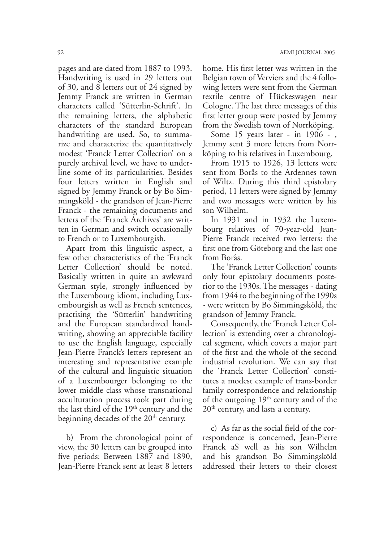pages and are dated from 1887 to 1993. Handwriting is used in 29 letters out of 30, and 8 letters out of 24 signed by Jemmy Franck are written in German characters called 'Sütterlin-Schrift'. In the remaining letters, the alphabetic characters of the standard European handwriting are used. So, to summarize and characterize the quantitatively modest 'Franck Letter Collection' on a purely archival level, we have to underline some of its particularities. Besides four letters written in English and signed by Jemmy Franck or by Bo Simmingsköld - the grandson of Jean-Pierre Franck - the remaining documents and letters of the 'Franck Archives' are written in German and switch occasionally to French or to Luxembourgish.

Apart from this linguistic aspect, a few other characteristics of the 'Franck Letter Collection' should be noted. Basically written in quite an awkward German style, strongly influenced by the Luxembourg idiom, including Luxembourgish as well as French sentences, practising the 'Sütterlin' handwriting and the European standardized handwriting, showing an appreciable facility to use the English language, especially Jean-Pierre Franck's letters represent an interesting and representative example of the cultural and linguistic situation of a Luxembourger belonging to the lower middle class whose transnational acculturation process took part during the last third of the 19<sup>th</sup> century and the beginning decades of the 20<sup>th</sup> century.

b) From the chronological point of view, the 30 letters can be grouped into five periods: Between 1887 and 1890, Jean-Pierre Franck sent at least 8 letters

home. His first letter was written in the Belgian town of Verviers and the 4 following letters were sent from the German textile centre of Hückeswagen near Cologne. The last three messages of this first letter group were posted by Jemmy from the Swedish town of Norrköping.

Some 15 years later - in 1906 -, Jemmy sent 3 more letters from Norrköping to his relatives in Luxembourg.

From 1915 to 1926, 13 letters were sent from Borås to the Ardennes town of Wiltz. During this third epistolary period, 11 letters were signed by Jemmy and two messages were written by his son Wilhelm.

In 1931 and in 1932 the Luxembourg relatives of 70-year-old Jean-Pierre Franck received two letters: the first one from Göteborg and the last one from Borås.

The 'Franck Letter Collection' counts only four epistolary documents posterior to the 1930s. The messages - dating from 1944 to the beginning of the 1990s - were written by Bo Simmingsköld, the grandson of Jemmy Franck.

Consequently, the 'Franck Letter Collection' is extending over a chronological segment, which covers a major part of the first and the whole of the second industrial revolution. We can say that the 'Franck Letter Collection' constitutes a modest example of trans-border family correspondence and relationship of the outgoing 19<sup>th</sup> century and of the 20<sup>th</sup> century, and lasts a century.

c) As far as the social field of the correspondence is concerned, Jean-Pierre Franck aS well as his son Wilhelm and his grandson Bo Simmingsköld addressed their letters to their closest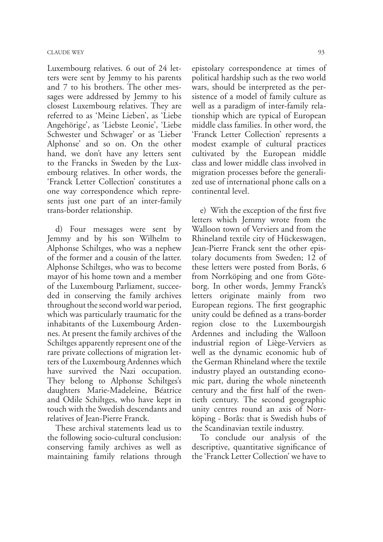Luxembourg relatives. 6 out of 24 letters were sent by Jemmy to his parents and 7 to his brothers. The other messages were addressed by Jemmy to his closest Luxembourg relatives. They are referred to as 'Meine Lieben', as 'Liebe Angehörige', as 'Liebste Leonie', 'Liebe Schwester und Schwager' or as 'Lieber Alphonse' and so on. On the other hand, we don't have any letters sent to the Francks in Sweden by the Luxembourg relatives. In other words, the 'Franck Letter Collection' constitutes a one way correspondence which represents just one part of an inter-family trans-border relationship.

d) Four messages were sent by Jemmy and by his son Wilhelm to Alphonse Schiltges, who was a nephew of the former and a cousin of the latter. Alphonse Schiltges, who was to become mayor of his home town and a member of the Luxembourg Parliament, succeeded in conserving the family archives throughout the second world war period, which was particularly traumatic for the inhabitants of the Luxembourg Ardennes. At present the family archives of the Schiltges apparently represent one of the rare private collections of migration letters of the Luxembourg Ardennes which have survived the Nazi occupation. They belong to Alphonse Schiltges's daughters Marie-Madeleine, Béatrice and Odile Schiltges, who have kept in touch with the Swedish descendants and relatives of Jean-Pierre Franck.

These archival statements lead us to the following socio-cultural conclusion: conserving family archives as well as maintaining family relations through

epistolary correspondence at times of political hardship such as the two world wars, should be interpreted as the persistence of a model of family culture as well as a paradigm of inter-family relationship which are typical of European middle class families. In other word, the 'Franck Letter Collection' represents a modest example of cultural practices cultivated by the European middle class and lower middle class involved in migration processes before the generalized use of international phone calls on a continental level.

e) With the exception of the first five letters which Jemmy wrote from the Walloon town of Verviers and from the Rhineland textile city of Hückeswagen, Jean-Pierre Franck sent the other epistolary documents from Sweden; 12 of these letters were posted from Borås, 6 from Norrköping and one from Göteborg. In other words, Jemmy Franck's letters originate mainly from two European regions. The first geographic unity could be defined as a trans-border region close to the Luxembourgish Ardennes and including the Walloon industrial region of Liège-Verviers as well as the dynamic economic hub of the German Rhineland where the textile industry played an outstanding economic part, during the whole nineteenth century and the first half of the twentieth century. The second geographic unity centres round an axis of Norrköping - Borås: that is Swedish hubs of the Scandinavian textile industry.

To conclude our analysis of the descriptive, quantitative significance of the 'Franck Letter Collection' we have to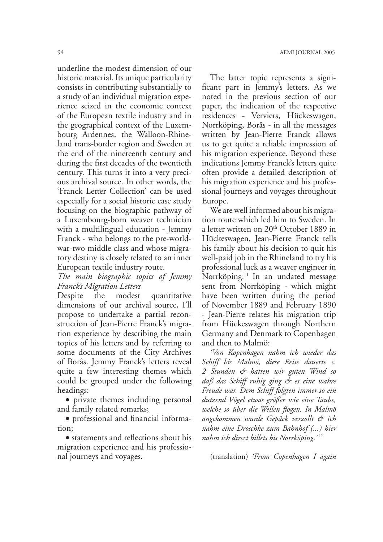underline the modest dimension of our historic material. Its unique particularity consists in contributing substantially to a study of an individual migration experience seized in the economic context of the European textile industry and in the geographical context of the Luxembourg Ardennes, the Walloon-Rhineland trans-border region and Sweden at the end of the nineteenth century and during the first decades of the twentieth century. This turns it into a very precious archival source. In other words, the 'Franck Letter Collection' can be used especially for a social historic case study focusing on the biographic pathway of a Luxembourg-born weaver technician with a multilingual education - Jemmy Franck - who belongs to the pre-worldwar-two middle class and whose migratory destiny is closely related to an inner European textile industry route.

## The main biographic topics of Jemmy **Franck's Migration Letters**

quantitative Despite the modest dimensions of our archival source, I'll propose to undertake a partial reconstruction of Jean-Pierre Franck's migration experience by describing the main topics of his letters and by referring to some documents of the City Archives of Borås. Jemmy Franck's letters reveal quite a few interesting themes which could be grouped under the following headings:

· private themes including personal and family related remarks;

· professional and financial information:

• statements and reflections about his migration experience and his professional journeys and voyages.

The latter topic represents a significant part in Jemmy's letters. As we noted in the previous section of our paper, the indication of the respective residences - Verviers, Hückeswagen, Norrköping, Borås - in all the messages written by Jean-Pierre Franck allows us to get quite a reliable impression of his migration experience. Beyond these indications Jemmy Franck's letters quite often provide a detailed description of his migration experience and his professional journeys and voyages throughout Europe.

We are well informed about his migration route which led him to Sweden. In a letter written on 20<sup>th</sup> October 1889 in Hückeswagen, Jean-Pierre Franck tells his family about his decision to quit his well-paid job in the Rhineland to try his professional luck as a weaver engineer in Norrköping.<sup>11</sup> In an undated message sent from Norrköping - which might have been written during the period of November 1889 and February 1890 - Jean-Pierre relates his migration trip from Hückeswagen through Northern Germany and Denmark to Copenhagen and then to Malmö:

'Von Kopenhagen nahm ich wieder das Schiff bis Malmö, diese Reise dauerte c. 2 Stunden & hatten wir guten Wind so daß das Schiff ruhig ging & es eine wahre Freude war. Dem Schiff folgten immer so ein dutzend Vögel etwas größer wie eine Taube, welche so über die Wellen flogen. In Malmö angekommen wurde Gepäck verzollt & ich nahm eine Droschke zum Bahnhof (...) hier nahm ich direct billets bis Norrköping.'<sup>12</sup>

(translation) 'From Copenhagen I again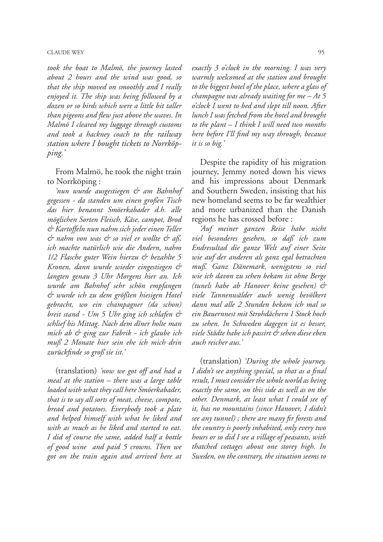### **CLAUDE WEY**

took the boat to Malmö, the journey lasted about 2 hours and the wind was good, so that the ship moved on smoothly and I really enjoyed it. The ship was being followed by a dozen or so birds which were a little bit taller than pigeons and flew just above the waves. In Malmö I cleared my luggage through customs and took a hackney coach to the railway station where I bought tickets to Norrköpping.'

From Malmö, he took the night train to Norrköping:

'nun wurde ausgestiegen & am Bahnhof gegessen - da standen um einen großen Tisch das hier benannt Smöerkabader d.h. alle möglichen Sorten Fleisch, Käse, campot, Brod & Kartoffeln nun nahm sich jeder einen Teller & nahm von was & so viel er wollte & aß, ich machte natürlich wie die Andern, nahm 1/2 Flasche guter Wein hierzu & bezahlte 5 Kronen, dann wurde wieder eingestiegen & langten genau 3 Uhr Morgens hier an. Ich wurde am Bahnhof sehr schön empfangen & wurde ich zu dem größten hiesigen Hotel gebracht, wo ein champagner (da schon) breit stand - Um 5 Uhr ging ich schlafen & schlief bis Mittag. Nach dem dîner holte man mich ab & ging zur Fabrik - ich glaube ich muß 2 Monate hier sein ehe ich mich drin zurückfinde so groß sie ist.'

(translation) 'now we got off and had a meal at the station – there was a large table loaded with what they call here Smöerkabader, that is to say all sorts of meat, cheese, compote, bread and potatoes. Everybody took a plate and helped himself with what he liked and with as much as he liked and started to eat. I did of course the same, added half a bottle of good wine and paid 5 crowns. Then we got on the train again and arrived here at

exactly 3 o'clock in the morning. I was very warmly welcomed at the station and brought to the biggest hotel of the place, where a glass of champagne was already waiting for  $me - At 5$ o'clock I went to bed and slept till noon. After lunch I was fetched from the hotel and brought to the plant  $-I$  think I will need two months here before I'll find my way through, because it is so big.'

Despite the rapidity of his migration journey, Jemmy noted down his views and his impressions about Denmark and Southern Sweden, insisting that his new homeland seems to be far wealthier and more urbanized than the Danish regions he has crossed before :

Auf meiner ganzen Reise habe nicht viel besonderes gesehen, so daß ich zum Endresultad die ganze Welt auf einer Seite wie auf der anderen als ganz egal betrachten muß. Ganz Dänemark, wenigstens so viel wie ich davon zu sehen bekam ist ohne Berge (tunels habe ab Hanover keine gesehen) & viele Tannenwälder auch wenig bevölkert dann mal alle 2 Stunden bekam ich mal so ein Bauernnest mit Strohdächern 1 Stock hoch zu sehen. In Schweden dagegen ist es besser, viele Städte habe ich passirt & sehen diese eben auch reicher aus.'

(translation) During the whole journey, I didn't see anything special, so that as a final result, I must consider the whole world as being exactly the same, on this side as well as on the other. Denmark, at least what I could see of it, has no mountains (since Hanover, I didn't see any tunnel); there are many fir forests and the country is poorly inhabited, only every two hours or so did I see a village of peasants, with thatched cottages about one storey high. In Sweden, on the contrary, the situation seems to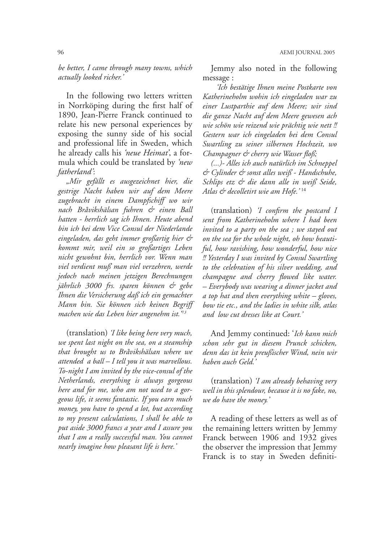be better, I came through many towns, which actually looked richer.'

In the following two letters written in Norrköping during the first half of 1890, Jean-Pierre Franck continued to relate his new personal experiences by exposing the sunny side of his social and professional life in Sweden, which he already calls his 'neue Heimat', a formula which could be translated by 'new fatherland':

"Mir gefällt es ausgezeichnet hier, die gestrige Nacht haben wir auf dem Meere zugebracht in einem Dampfschiff wo wir nach Bråvikshälsan fuhren & einen Ball hatten - herrlich sag ich Ihnen. Heute abend bin ich bei dem Vice Consul der Niederlande eingeladen, das geht immer großartig hier & kommt mir, weil ein so großartiges Leben nicht gewohnt bin, herrlich vor. Wenn man viel verdient muß man viel verzehren, werde jedoch nach meinen jetzigen Berechnungen jährlich 3000 frs. sparen können & gebe Ihnen die Versicherung daß ich ein gemachter Mann bin. Sie können sich keinen Begriff machen wie das Leben hier angenehm ist.<sup>93</sup>

(translation) T like being here very much, we spent last night on the sea, on a steamship that brought us to Bråvikshälsan where we attended a ball - I tell you it was marvellous. To-night I am invited by the vice-consul of the Netherlands, everything is always gorgeous here and for me, who am not used to a gorgeous life, it seems fantastic. If you earn much money, you have to spend a lot, but according to my present calculations, I shall be able to put aside 3000 francs a year and I assure you that I am a really successful man. You cannot nearly imagine how pleasant life is here.'

Jemmy also noted in the following message:

Ich bestätige Ihnen meine Postkarte von Katherineholm wohin ich eingeladen war zu einer Lustparthie auf dem Meere; wir sind die ganze Nacht auf dem Meere gewesen ach wie schön wie reizend wie prächtig wie nett! Gestern war ich eingeladen bei dem Consul Swartling zu seiner silbernen Hochzeit, wo Champagner & cherry wie Wasser floß;

(...)- Alles ich auch natürlich im Schneppel & Cylinder & sonst alles weiß - Handschuhe, Schlips etz & die dann alle in weiß Seide, Atlas & decolletirt wie am Hofe.'<sup>14</sup>

(translation) T confirm the postcard I sent from Katherineholm where I had been invited to a party on the sea; we stayed out on the sea for the whole night, oh how beautiful, how ravishing, how wonderful, how nice !! Yesterday I was invited by Consul Swartling to the celebration of his silver wedding, and champagne and cherry flowed like water. - Everybody was wearing a dinner jacket and a top hat and then everything white - gloves, bow tie etc., and the ladies in white silk, atlas and low cut dresses like at Court.'

And Jemmy continued: 'Ich kann mich schon sehr gut in diesem Prunck schicken, denn das ist kein preußischer Wind, nein wir haben auch Geld.

(translation) *T am already behaving very* well in this splendour, because it is no fake, no, we do have the money.'

A reading of these letters as well as of the remaining letters written by Jemmy Franck between 1906 and 1932 gives the observer the impression that Jemmy Franck is to stay in Sweden definiti-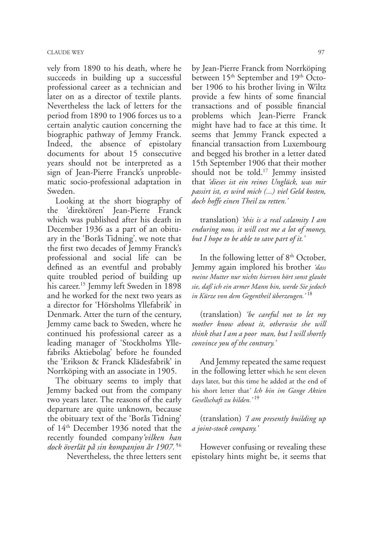vely from 1890 to his death, where he succeeds in building up a successful professional career as a technician and later on as a director of textile plants. Nevertheless the lack of letters for the period from 1890 to 1906 forces us to a certain analytic caution concerning the biographic pathway of Jemmy Franck. Indeed, the absence of epistolary documents for about 15 consecutive years should not be interpreted as a sign of Jean-Pierre Franck's unproblematic socio-professional adaptation in Sweden.

Looking at the short biography of the 'direktören' Jean-Pierre Franck which was published after his death in December 1936 as a part of an obituary in the 'Borås Tidning', we note that the first two decades of Jemmy Franck's professional and social life can be defined as an eventful and probably quite troubled period of building up his career.<sup>15</sup> Jemmy left Sweden in 1898 and he worked for the next two years as a director for 'Hörsholms Yllefabrik' in Denmark. Atter the turn of the century, Jemmy came back to Sweden, where he continued his professional career as a leading manager of 'Stockholms Yllefabriks Aktiebolag' before he founded the 'Erikson & Franck Klädesfabrik' in Norrköping with an associate in 1905.

The obituary seems to imply that Jemmy backed out from the company two years later. The reasons of the early departure are quite unknown, because the obituary text of the 'Borås Tidning' of 14<sup>th</sup> December 1936 noted that the recently founded company *vilken han* dock överlät på sin kompanjon år 1907.<sup>16</sup>

Nevertheless, the three letters sent

by Jean-Pierre Franck from Norrköping between 15<sup>th</sup> September and 19<sup>th</sup> October 1906 to his brother living in Wiltz provide a few hints of some financial transactions and of possible financial problems which Jean-Pierre Franck might have had to face at this time. It seems that Jemmy Franck expected a financial transaction from Luxembourg and begged his brother in a letter dated 15th September 1906 that their mother should not be told.<sup>17</sup> Jemmy insisted that *'dieses ist ein reines Unglück*, was mir passirt ist, es wird mich (...) viel Geld kosten, *doch hoffe einen Theil zu retten.*'

translation) *this is a real calamity I am* enduring now, it will cost me a lot of money, but I hope to be able to save part of it.'

In the following letter of 8<sup>th</sup> October, Jemmy again implored his brother 'dass *MEINE-UTTERNURNICHTSHIERVONHRTSONSTGLAUBT*  $si$ e, daß ich ein armer Mann bin, werde Sie jedoch *in Kürze von dem Gegentheil überzeugen.*<sup>'18</sup>

(translation) *be careful not to let my MOTHER KNOW ABOUT IT OTHERWISE SHE WILL think that I am a poor man, but I will shortly CONVINCE you of the contrary.* 

And Jemmy repeated the same request in the following letter which he sent eleven days later, but this time he added at the end of his short letter that<sup>*'</sup> Ich bin im Gange Aktien*</sup> Gesellschaft zu bilden.'<sup>19</sup>

(translation) *T* am presently building up *a* joint-stock company.'

However confusing or revealing these epistolary hints might be, it seems that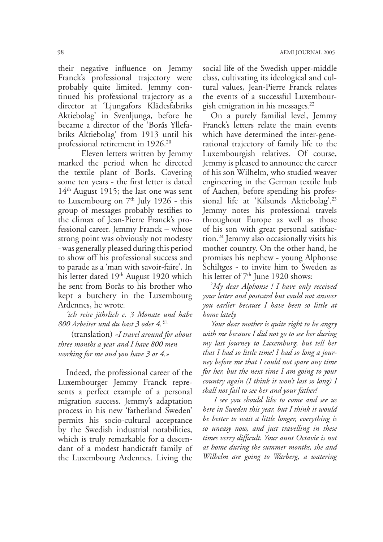their negative influence on Jemmy Franck's professional trajectory were probably quite limited. Jemmy continued his professional trajectory as a director at 'Ljungafors Klädesfabriks Aktiebolag' in Svenljunga, before he became a director of the 'Borås Yllefabriks Aktiebolag' from 1913 until his professional retirement in 1926.<sup>20</sup>

Eleven letters written by Jemmy marked the period when he directed the textile plant of Borås. Covering some ten years - the first letter is dated  $14<sup>th</sup>$  August 1915; the last one was sent to Luxembourg on  $7<sup>th</sup>$  July 1926 - this group of messages probably testifies to the climax of Jean-Pierre Franck's professional career. Jemmy Franck – whose strong point was obviously not modesty - was generally pleased during this period to show off his professional success and to parade as a 'man with savoir-faire'. In his letter dated 19<sup>th</sup> August 1920 which he sent from Borås to his brother who kept a butchery in the Luxembourg Ardennes, he wrote:

'ich reise jährlich c. 3 Monate und habe 800 Arbeiter und du hast 3 oder 4.<sup>21</sup>

(translation) «I travel around for about three months a year and I have 800 men working for me and you have 3 or 4.»

Indeed, the professional career of the Luxembourger Jemmy Franck represents a perfect example of a personal migration success. Jemmy's adaptation process in his new 'fatherland Sweden' permits his socio-cultural acceptance by the Swedish industrial notabilities, which is truly remarkable for a descendant of a modest handicraft family of the Luxembourg Ardennes. Living the

social life of the Swedish upper-middle class, cultivating its ideological and cultural values, Jean-Pierre Franck relates the events of a successful Luxembourgish emigration in his messages.<sup>22</sup>

On a purely familial level, Jemmy Franck's letters relate the main events which have determined the inter-generational trajectory of family life to the Luxembourgish relatives. Of course, Jemmy is pleased to announce the career of his son Wilhelm, who studied weaver engineering in the German textile hub of Aachen, before spending his professional life at 'Kilsunds Aktiebolag'.<sup>23</sup> Jemmy notes his professional travels throughout Europe as well as those of his son with great personal satisfaction.<sup>24</sup> Jemmy also occasionally visits his mother country. On the other hand, he promises his nephew - young Alphonse Schiltges - to invite him to Sweden as his letter of  $7<sup>th</sup>$  June 1920 shows:

'My dear Alphonse ! I have only received your letter and postcard but could not answer you earlier because I have been so little at home lately.

Your dear mother is quite right to be angry with me because I did not go to see her during my last journey to Luxemburg, but tell her that I had so little time! I had so long a journey before me that I could not spare any time for her, but the next time I am going to your country again (I think it won't last so long) I shall not fail to see her and your father!

I see you should like to come and see us here in Sweden this year, but I think it would be better to wait a little longer, everything is so uneasy now, and just travelling in these times verry difficult. Your aunt Octavie is not at home during the summer months, she and Wilhelm are going to Warberg, a watering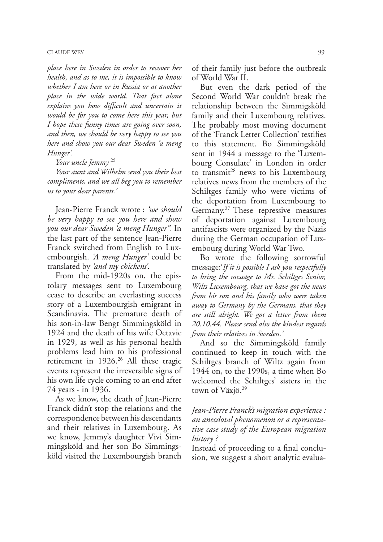#### **CLAUDE WEY**

place here in Sweden in order to recover her health, and as to me, it is impossible to know whether I am here or in Russia or at another place in the wide world. That fact alone explains you how difficult and uncertain it would be for you to come here this year, but I hope these funny times are going over soon, and then, we should be very happy to see you here and show you our dear Sweden 'a meng Hunger'.

Your uncle Jemmy<sup>25</sup>

Your aunt and Wilhelm send you their best compliments, and we all beg you to remember us to your dear parents.'

Jean-Pierre Franck wrote: 'we should be very happy to see you here and show you our dear Sweden 'a meng Hunger". In the last part of the sentence Jean-Pierre Franck switched from English to Luxembourgish. *A meng Hunger* could be translated by *'and my chickens'*.

From the mid-1920s on, the epistolary messages sent to Luxembourg cease to describe an everlasting success story of a Luxembourgish emigrant in Scandinavia. The premature death of his son-in-law Bengt Simmingsköld in 1924 and the death of his wife Octavie in 1929, as well as his personal health problems lead him to his professional retirement in 1926.<sup>26</sup> All these tragic events represent the irreversible signs of his own life cycle coming to an end after 74 years - in 1936.

As we know, the death of Jean-Pierre Franck didn't stop the relations and the correspondence between his descendants and their relatives in Luxembourg. As we know, Jemmy's daughter Vivi Simmingsköld and her son Bo Simmingsköld visited the Luxembourgish branch

of their family just before the outbreak of World War II.

But even the dark period of the Second World War couldn't break the relationship between the Simmigsköld family and their Luxembourg relatives. The probably most moving document of the 'Franck Letter Collection' testifies to this statement. Bo Simmingsköld sent in 1944 a message to the 'Luxembourg Consulate' in London in order to transmit<sup>28</sup> news to his Luxembourg relatives news from the members of the Schiltges family who were victims of the deportation from Luxembourg to Germany.<sup>27</sup> These repressive measures of deportation against Luxembourg antifascists were organized by the Nazis during the German occupation of Luxembourg during World War Two.

Bo wrote the following sorrowful message: If it is possible I ask you respectfully to bring the message to Mr. Schiltges Senior, Wilts Luxembourg, that we have got the news from his son and his family who were taken away to Germany by the Germans, that they are still alright. We got a letter from them 20.10.44. Please send also the kindest regards from their relatives in Sweden.'

And so the Simmingsköld family continued to keep in touch with the Schiltges branch of Wiltz again from 1944 on, to the 1990s, a time when Bo welcomed the Schiltges' sisters in the town of  $V\ddot{a}xj\ddot{o}.^{29}$ 

Jean-Pierre Franck's migration experience : an anecdotal phenomenon or a representative case study of the European migration history?

Instead of proceeding to a final conclusion, we suggest a short analytic evalua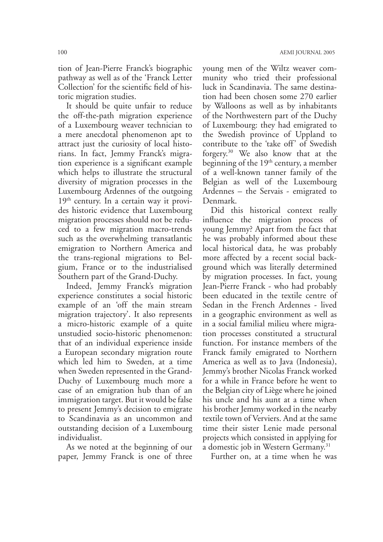tion of Jean-Pierre Franck's biographic pathway as well as of the 'Franck Letter Collection' for the scientific field of historic migration studies.

It should be quite unfair to reduce the off-the-path migration experience of a Luxembourg weaver technician to a mere anecdotal phenomenon apt to attract just the curiosity of local historians. In fact, Jemmy Franck's migration experience is a significant example which helps to illustrate the structural diversity of migration processes in the Luxembourg Ardennes of the outgoing  $19<sup>th</sup>$  century. In a certain way it provides historic evidence that Luxembourg migration processes should not be reduced to a few migration macro-trends such as the overwhelming transatlantic emigration to Northern America and the trans-regional migrations to Belgium, France or to the industrialised Southern part of the Grand-Duchy.

Indeed, Jemmy Franck's migration experience constitutes a social historic example of an 'off the main stream migration trajectory'. It also represents a micro-historic example of a quite unstudied socio-historic phenomenon: that of an individual experience inside a European secondary migration route which led him to Sweden, at a time when Sweden represented in the Grand-Duchy of Luxembourg much more a case of an emigration hub than of an immigration target. But it would be false to present Jemmy's decision to emigrate to Scandinavia as an uncommon and outstanding decision of a Luxembourg individualist.

As we noted at the beginning of our paper, Jemmy Franck is one of three young men of the Wiltz weaver community who tried their professional luck in Scandinavia. The same destination had been chosen some 270 earlier by Walloons as well as by inhabitants of the Northwestern part of the Duchy of Luxembourg: they had emigrated to the Swedish province of Uppland to contribute to the 'take off' of Swedish forgery.<sup>30</sup> We also know that at the beginning of the 19<sup>th</sup> century, a member of a well-known tanner family of the Belgian as well of the Luxembourg Ardennes – the Servais - emigrated to Denmark.

Did this historical context really influence the migration process of young Jemmy? Apart from the fact that he was probably informed about these local historical data, he was probably more affected by a recent social background which was literally determined by migration processes. In fact, young Jean-Pierre Franck - who had probably been educated in the textile centre of Sedan in the French Ardennes - lived in a geographic environment as well as in a social familial milieu where migration processes constituted a structural function. For instance members of the Franck family emigrated to Northern America as well as to Java (Indonesia), Jemmy's brother Nicolas Franck worked for a while in France before he went to the Belgian city of Liège where he joined his uncle and his aunt at a time when his brother Jemmy worked in the nearby textile town of Verviers. And at the same time their sister Lenie made personal projects which consisted in applying for a domestic job in Western Germany.<sup>31</sup>

Further on, at a time when he was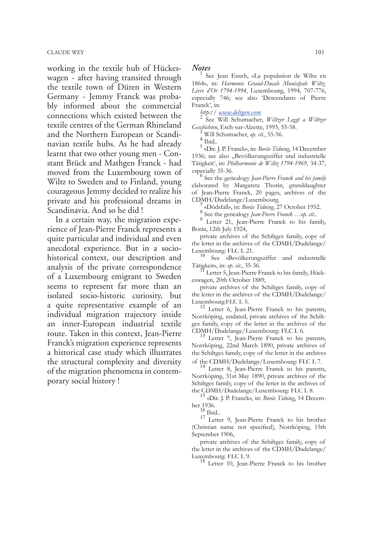working in the textile hub of Hückeswagen - after having transited through the textile town of Düren in Western Germany - Jemmy Franck was probably informed about the commercial connections which existed between the textile centres of the German Rhineland and the Northern European or Scandinavian textile hubs. As he had already learnt that two other young men - Constant Brück and Mathgen Franck - had moved from the Luxembourg town of Wiltz to Sweden and to Finland, young courageous Jemmy decided to realize his private and his professional dreams in Scandinavia. And so he did!

In a certain way, the migration experience of Jean-Pierre Franck represents a quite particular and individual and even anecdotal experience. But in a sociohistorical context, our description and analysis of the private correspondence of a Luxembourg emigrant to Sweden seems to represent far more than an isolated socio-historic curiosity, but a quite representative example of an individual migration trajectory inside an inner-European industrial textile route. Taken in this context, Jean-Pierre Franck's migration experience represents a historical case study which illustrates the structural complexity and diversity of the migration phenomena in contemporary social history!

#### **Notes**

See Jean Ensch, «La population de Wiltz en 1864», in: Harmonie Grand-Ducale Municipale Wiltz. Livre d'Or 1794-1994, Luxembourg, 1994, 707-776, especially 746; see also 'Descendants of Pierre Franck', in:

http://www.deltgen.com

See Will Schumacher, Wéltzer Leggt a Wéltzer Geschichten, Esch-sur-Alzette, 1993, 55-58.

Will Schumacher, op. cit., 55-56.

 $4$  Tbid..

<sup>5</sup> «Dir. J. P. Franck», in: *Borås Tidning*, 14 December 1936; see also "Bevölkerungsziffer und industrielle Tätigkeit', in: Philharmonie de Wiltz 1794-1969, 34-37, especially 35-36.<br><sup>6</sup> See the genealogy Jean-Pierre Franck and his family

elaborated by Margareta Thorin, granddaughter of Jean-Pierre Franck, 20 pages, archives of the CDMH/Dudelange/Luxembourg.

«Dödsfall», in: Borås Tidning, 27 October 1952.

<sup>8</sup> See the genealogy Jean-Pierre Franck ...op. cit..

<sup>9</sup> Letter 21, Jean-Pierre Franck to his family, Borås, 12th July 1924,

private archives of the Schiltges family, copy of the letter in the archives of the CDMH/Dudelange/ Luxembourg: FLC L 21.

See «Bevölkerungsziffer und industrielle Tätigkeit», in: op. cit., 35-36.<br><sup>17</sup> Letter 5, Jean-Pierre Franck to his family, Hück-

eswagen, 20th October 1889,

private archives of the Schiltges family, copy of the letter in the archives of the CDMH/Dudelange/

Luxembourg:FLC L 5.<br><sup>12</sup> Letter 6, Jean-Pierre Franck to his parents, Norrköping, undated, private archives of the Schiltges family, copy of the letter in the archives of the CDMH/Dudelange/Luxembourg: FLC L 6.<br><sup>13</sup> Letter 7, Jean-Pierre Franck to his parents,

Norrköping, 22nd March 1890, private archives of the Schiltges family, copy of the letter in the archives  $% \left( \left( \mathcal{A},\mathcal{A}\right) \right) =\left( \mathcal{A},\mathcal{A}\right)$  of the CDMH/Dudelange/Luxembourg: FLC L 7.

<sup>14</sup> Letter 8, Jean-Pierre Franck to his parents, Norrköping, 31st May 1890, private archives of the Schiltges family, copy of the letter in the archives of the CDMH/Dudelange/Luxembourg: FLC L 8.

 $^5$  «Dir. J. P. Franck», in: Borås Tidning, 14 December 1936.<br><sup>16</sup> Ibid..

<sup>17</sup> Letter 9, Jean-Pierre Franck to his brother (Christian name not specified), Norrköping, 15th September 1906,

private archives of the Schiltges family, copy of the letter in the archives of the CDMH/Dudelange/ Luxembourg: FLC L 9.

<sup>18</sup> Letter 10, Jean-Pierre Franck to his brother